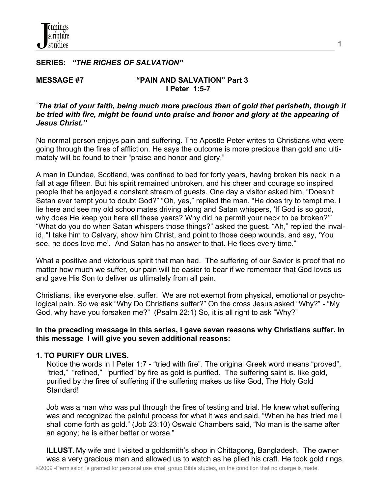## **SERIES:** *"THE RICHES OF SALVATION"*

#### **MESSAGE #7 "PAIN AND SALVATION" Part 3 I Peter 1:5-7**

#### *"The trial of your faith, being much more precious than of gold that perisheth, though it be tried with fire, might be found unto praise and honor and glory at the appearing of Jesus Christ."*

No normal person enjoys pain and suffering. The Apostle Peter writes to Christians who were going through the fires of affliction. He says the outcome is more precious than gold and ultimately will be found to their "praise and honor and glory."

A man in Dundee, Scotland, was confined to bed for forty years, having broken his neck in a fall at age fifteen. But his spirit remained unbroken, and his cheer and courage so inspired people that he enjoyed a constant stream of guests. One day a visitor asked him, "Doesn't Satan ever tempt you to doubt God?" "Oh, yes," replied the man. "He does try to tempt me. I lie here and see my old schoolmates driving along and Satan whispers, 'If God is so good, why does He keep you here all these years? Why did he permit your neck to be broken?'" "What do you do when Satan whispers those things?" asked the guest. "Ah," replied the invalid, "I take him to Calvary, show him Christ, and point to those deep wounds, and say, 'You see, he does love me'. And Satan has no answer to that. He flees every time."

What a positive and victorious spirit that man had. The suffering of our Savior is proof that no matter how much we suffer, our pain will be easier to bear if we remember that God loves us and gave His Son to deliver us ultimately from all pain.

Christians, like everyone else, suffer. We are not exempt from physical, emotional or psychological pain. So we ask "Why Do Christians suffer?" On the cross Jesus asked "Why?" - "My God, why have you forsaken me?" (Psalm 22:1) So, it is all right to ask "Why?"

## **In the preceding message in this series, I gave seven reasons why Christians suffer. In this message I will give you seven additional reasons:**

## **1. TO PURIFY OUR LIVES.**

 Notice the words in I Peter 1:7 - "tried with fire". The original Greek word means "proved", "tried," "refined," "purified" by fire as gold is purified. The suffering saint is, like gold, purified by the fires of suffering if the suffering makes us like God, The Holy Gold Standard!

 Job was a man who was put through the fires of testing and trial. He knew what suffering was and recognized the painful process for what it was and said, "When he has tried me I shall come forth as gold." (Job 23:10) Oswald Chambers said, "No man is the same after an agony; he is either better or worse."

 **ILLUST.** My wife and I visited a goldsmith's shop in Chittagong, Bangladesh. The owner was a very gracious man and allowed us to watch as he plied his craft. He took gold rings,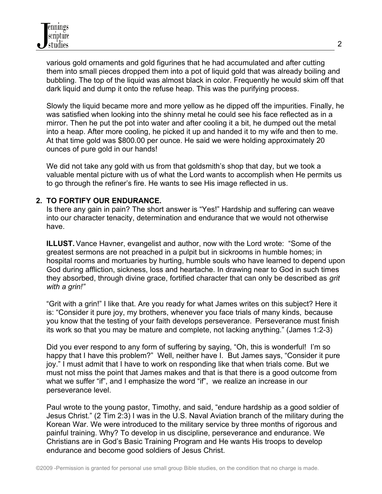various gold ornaments and gold figurines that he had accumulated and after cutting them into small pieces dropped them into a pot of liquid gold that was already boiling and bubbling. The top of the liquid was almost black in color. Frequently he would skim off that dark liquid and dump it onto the refuse heap. This was the purifying process.

 Slowly the liquid became more and more yellow as he dipped off the impurities. Finally, he was satisfied when looking into the shinny metal he could see his face reflected as in a mirror. Then he put the pot into water and after cooling it a bit, he dumped out the metal into a heap. After more cooling, he picked it up and handed it to my wife and then to me. At that time gold was \$800.00 per ounce. He said we were holding approximately 20 ounces of pure gold in our hands!

 We did not take any gold with us from that goldsmith's shop that day, but we took a valuable mental picture with us of what the Lord wants to accomplish when He permits us to go through the refiner's fire. He wants to see His image reflected in us.

## **2. TO FORTIFY OUR ENDURANCE.**

 Is there any gain in pain? The short answer is "Yes!" Hardship and suffering can weave into our character tenacity, determination and endurance that we would not otherwise have.

 **ILLUST.** Vance Havner, evangelist and author, now with the Lord wrote: "Some of the greatest sermons are not preached in a pulpit but in sickrooms in humble homes; in hospital rooms and mortuaries by hurting, humble souls who have learned to depend upon God during affliction, sickness, loss and heartache. In drawing near to God in such times they absorbed, through divine grace, fortified character that can only be described as *grit with a grin!"*

 "Grit with a grin!" I like that. Are you ready for what James writes on this subject? Here it is: "Consider it pure joy, my brothers, whenever you face trials of many kinds, because you know that the testing of your faith develops perseverance. Perseverance must finish its work so that you may be mature and complete, not lacking anything." (James 1:2-3)

 Did you ever respond to any form of suffering by saying, "Oh, this is wonderful! I'm so happy that I have this problem?" Well, neither have I. But James says, "Consider it pure joy." I must admit that I have to work on responding like that when trials come. But we must not miss the point that James makes and that is that there is a good outcome from what we suffer "if", and I emphasize the word "if", we realize an increase in our perseverance level.

 Paul wrote to the young pastor, Timothy, and said, "endure hardship as a good soldier of Jesus Christ." (2 Tim 2:3) I was in the U.S. Naval Aviation branch of the military during the Korean War. We were introduced to the military service by three months of rigorous and painful training. Why? To develop in us discipline, perseverance and endurance. We Christians are in God's Basic Training Program and He wants His troops to develop endurance and become good soldiers of Jesus Christ.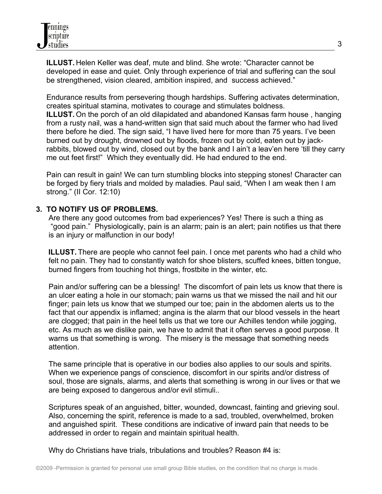**ILLUST.** Helen Keller was deaf, mute and blind. She wrote: "Character cannot be developed in ease and quiet. Only through experience of trial and suffering can the soul be strengthened, vision cleared, ambition inspired, and success achieved."

 Endurance results from persevering though hardships. Suffering activates determination, creates spiritual stamina, motivates to courage and stimulates boldness. **ILLUST.** On the porch of an old dilapidated and abandoned Kansas farm house, hanging from a rusty nail, was a hand-written sign that said much about the farmer who had lived there before he died. The sign said, "I have lived here for more than 75 years. I've been burned out by drought, drowned out by floods, frozen out by cold, eaten out by jack rabbits, blowed out by wind, closed out by the bank and I ain't a leav'en here 'till they carry me out feet first!" Which they eventually did. He had endured to the end.

 Pain can result in gain! We can turn stumbling blocks into stepping stones! Character can be forged by fiery trials and molded by maladies. Paul said, "When I am weak then I am strong." (II Cor. 12:10)

## **3. TO NOTIFY US OF PROBLEMS.**

 Are there any good outcomes from bad experiences? Yes! There is such a thing as "good pain." Physiologically, pain is an alarm; pain is an alert; pain notifies us that there is an injury or malfunction in our body!

 **ILLUST.** There are people who cannot feel pain. I once met parents who had a child who felt no pain. They had to constantly watch for shoe blisters, scuffed knees, bitten tongue, burned fingers from touching hot things, frostbite in the winter, etc.

 Pain and/or suffering can be a blessing! The discomfort of pain lets us know that there is an ulcer eating a hole in our stomach; pain warns us that we missed the nail and hit our finger; pain lets us know that we stumped our toe; pain in the abdomen alerts us to the fact that our appendix is inflamed; angina is the alarm that our blood vessels in the heart are clogged; that pain in the heel tells us that we tore our Achilles tendon while jogging, etc. As much as we dislike pain, we have to admit that it often serves a good purpose. It warns us that something is wrong. The misery is the message that something needs attention.

 The same principle that is operative in our bodies also applies to our souls and spirits. When we experience pangs of conscience, discomfort in our spirits and/or distress of soul, those are signals, alarms, and alerts that something is wrong in our lives or that we are being exposed to dangerous and/or evil stimuli..

 Scriptures speak of an anguished, bitter, wounded, downcast, fainting and grieving soul. Also, concerning the spirit, reference is made to a sad, troubled, overwhelmed, broken and anguished spirit. These conditions are indicative of inward pain that needs to be addressed in order to regain and maintain spiritual health.

Why do Christians have trials, tribulations and troubles? Reason #4 is: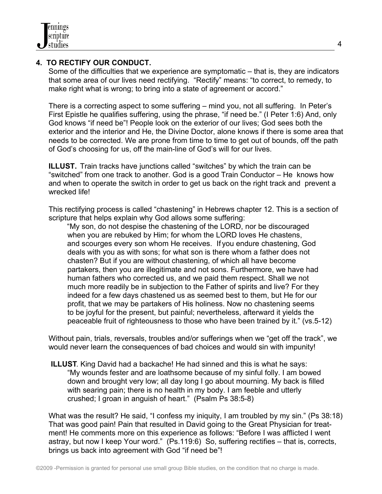## **4. TO RECTIFY OUR CONDUCT.**

 Some of the difficulties that we experience are symptomatic – that is, they are indicators that some area of our lives need rectifying. "Rectify" means: "to correct, to remedy, to make right what is wrong; to bring into a state of agreement or accord."

 There is a correcting aspect to some suffering – mind you, not all suffering. In Peter's First Epistle he qualifies suffering, using the phrase, "if need be." (I Peter 1:6) And, only God knows "if need be"! People look on the exterior of our lives; God sees both the exterior and the interior and He, the Divine Doctor, alone knows if there is some area that needs to be corrected. We are prone from time to time to get out of bounds, off the path of God's choosing for us, off the main-line of God's will for our lives.

 **ILLUST.** Train tracks have junctions called "switches" by which the train can be "switched" from one track to another. God is a good Train Conductor – He knows how and when to operate the switch in order to get us back on the right track and prevent a wrecked life!

 This rectifying process is called "chastening" in Hebrews chapter 12. This is a section of scripture that helps explain why God allows some suffering:

 "My son, do not despise the chastening of the LORD, nor be discouraged when you are rebuked by Him; for whom the LORD loves He chastens, and scourges every son whom He receives. If you endure chastening, God deals with you as with sons; for what son is there whom a father does not chasten? But if you are without chastening, of which all have become partakers, then you are illegitimate and not sons. Furthermore, we have had human fathers who corrected us, and we paid them respect. Shall we not much more readily be in subjection to the Father of spirits and live? For they indeed for a few days chastened us as seemed best to them, but He for our profit, that we may be partakers of His holiness. Now no chastening seems to be joyful for the present, but painful; nevertheless, afterward it yields the peaceable fruit of righteousness to those who have been trained by it." (vs.5-12)

 Without pain, trials, reversals, troubles and/or sufferings when we "get off the track", we would never learn the consequences of bad choices and would sin with impunity!

 **ILLUST**. King David had a backache! He had sinned and this is what he says: "My wounds fester and are loathsome because of my sinful folly. I am bowed down and brought very low; all day long I go about mourning. My back is filled with searing pain; there is no health in my body. I am feeble and utterly crushed; I groan in anguish of heart." (Psalm Ps 38:5-8)

What was the result? He said, "I confess my iniquity, I am troubled by my sin." (Ps 38:18) That was good pain! Pain that resulted in David going to the Great Physician for treat ment! He comments more on this experience as follows: "Before I was afflicted I went astray, but now I keep Your word." (Ps.119:6) So, suffering rectifies – that is, corrects, brings us back into agreement with God "if need be"!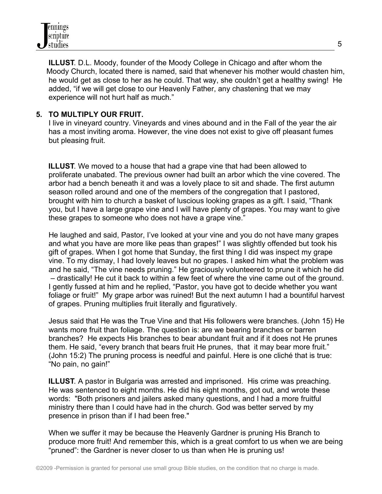**ILLUST**. D.L. Moody, founder of the Moody College in Chicago and after whom the Moody Church, located there is named, said that whenever his mother would chasten him, he would get as close to her as he could. That way, she couldn't get a healthy swing! He added, "if we will get close to our Heavenly Father, any chastening that we may experience will not hurt half as much."

# **5. TO MULTIPLY OUR FRUIT.**

 I live in vineyard country. Vineyards and vines abound and in the Fall of the year the air has a most inviting aroma. However, the vine does not exist to give off pleasant fumes but pleasing fruit.

 **ILLUST**. We moved to a house that had a grape vine that had been allowed to proliferate unabated. The previous owner had built an arbor which the vine covered. The arbor had a bench beneath it and was a lovely place to sit and shade. The first autumn season rolled around and one of the members of the congregation that I pastored, brought with him to church a basket of luscious looking grapes as a gift. I said, "Thank you, but I have a large grape vine and I will have plenty of grapes. You may want to give these grapes to someone who does not have a grape vine."

 He laughed and said, Pastor, I've looked at your vine and you do not have many grapes and what you have are more like peas than grapes!" I was slightly offended but took his gift of grapes. When I got home that Sunday, the first thing I did was inspect my grape vine. To my dismay, I had lovely leaves but no grapes. I asked him what the problem was and he said, "The vine needs pruning." He graciously volunteered to prune it which he did – drastically! He cut it back to within a few feet of where the vine came out of the ground. I gently fussed at him and he replied, "Pastor, you have got to decide whether you want foliage or fruit!" My grape arbor was ruined! But the next autumn I had a bountiful harvest of grapes. Pruning multiplies fruit literally and figuratively.

 Jesus said that He was the True Vine and that His followers were branches. (John 15) He wants more fruit than foliage. The question is: are we bearing branches or barren branches? He expects His branches to bear abundant fruit and if it does not He prunes them. He said, "every branch that bears fruit He prunes, that it may bear more fruit." (John 15:2) The pruning process is needful and painful. Here is one cliché that is true: "No pain, no gain!"

 **ILLUST**. A pastor in Bulgaria was arrested and imprisoned. His crime was preaching. He was sentenced to eight months. He did his eight months, got out, and wrote these words: "Both prisoners and jailers asked many questions, and I had a more fruitful ministry there than I could have had in the church. God was better served by my presence in prison than if I had been free."

 When we suffer it may be because the Heavenly Gardner is pruning His Branch to produce more fruit! And remember this, which is a great comfort to us when we are being "pruned": the Gardner is never closer to us than when He is pruning us!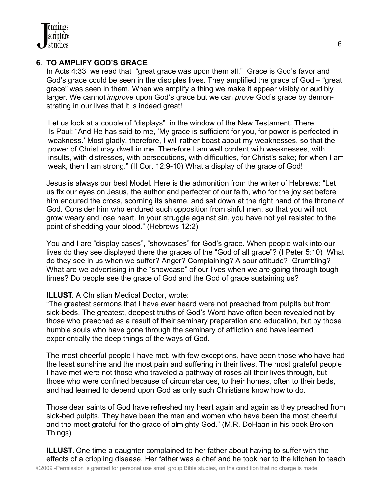

## **6. TO AMPLIFY GOD'S GRACE**.

 In Acts 4:33 we read that "great grace was upon them all." Grace is God's favor and God's grace could be seen in the disciples lives. They amplified the grace of God – "great grace" was seen in them. When we amplify a thing we make it appear visibly or audibly larger. We cannot *improve* upon God's grace but we can *prove* God's grace by demon strating in our lives that it is indeed great!

 Let us look at a couple of "displays" in the window of the New Testament. There Is Paul: "And He has said to me, 'My grace is sufficient for you, for power is perfected in weakness.' Most gladly, therefore, I will rather boast about my weaknesses, so that the power of Christ may dwell in me. Therefore I am well content with weaknesses, with insults, with distresses, with persecutions, with difficulties, for Christ's sake; for when I am weak, then I am strong." (II Cor. 12:9-10) What a display of the grace of God!

 Jesus is always our best Model. Here is the admonition from the writer of Hebrews: "Let us fix our eyes on Jesus, the author and perfecter of our faith, who for the joy set before him endured the cross, scorning its shame, and sat down at the right hand of the throne of God. Consider him who endured such opposition from sinful men, so that you will not grow weary and lose heart. In your struggle against sin, you have not yet resisted to the point of shedding your blood." (Hebrews 12:2)

 You and I are "display cases", "showcases" for God's grace. When people walk into our lives do they see displayed there the graces of the "God of all grace"? (I Peter 5:10) What do they see in us when we suffer? Anger? Complaining? A sour attitude? Grumbling? What are we advertising in the "showcase" of our lives when we are going through tough times? Do people see the grace of God and the God of grace sustaining us?

## **ILLUST**. A Christian Medical Doctor, wrote:

 "The greatest sermons that I have ever heard were not preached from pulpits but from sick-beds. The greatest, deepest truths of God's Word have often been revealed not by those who preached as a result of their seminary preparation and education, but by those humble souls who have gone through the seminary of affliction and have learned experientially the deep things of the ways of God.

 The most cheerful people I have met, with few exceptions, have been those who have had the least sunshine and the most pain and suffering in their lives. The most grateful people I have met were not those who traveled a pathway of roses all their lives through, but those who were confined because of circumstances, to their homes, often to their beds, and had learned to depend upon God as only such Christians know how to do.

 Those dear saints of God have refreshed my heart again and again as they preached from sick-bed pulpits. They have been the men and women who have been the most cheerful and the most grateful for the grace of almighty God." (M.R. DeHaan in his book Broken Things)

 **ILLUST.** One time a daughter complained to her father about having to suffer with the effects of a crippling disease. Her father was a chef and he took her to the kitchen to teach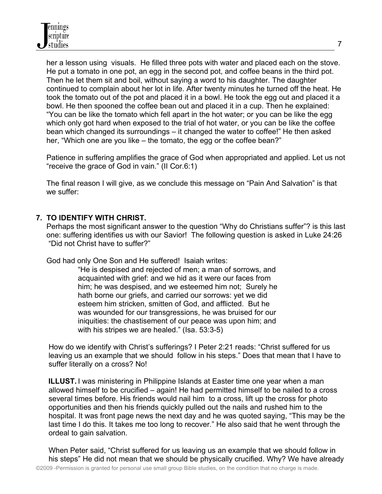her a lesson using visuals. He filled three pots with water and placed each on the stove. He put a tomato in one pot, an egg in the second pot, and coffee beans in the third pot. Then he let them sit and boil, without saying a word to his daughter. The daughter continued to complain about her lot in life. After twenty minutes he turned off the heat. He took the tomato out of the pot and placed it in a bowl. He took the egg out and placed it a bowl. He then spooned the coffee bean out and placed it in a cup. Then he explained: "You can be like the tomato which fell apart in the hot water; or you can be like the egg which only got hard when exposed to the trial of hot water, or you can be like the coffee bean which changed its surroundings – it changed the water to coffee!" He then asked her, "Which one are you like – the tomato, the egg or the coffee bean?"

 Patience in suffering amplifies the grace of God when appropriated and applied. Let us not "receive the grace of God in vain." (II Cor.6:1)

 The final reason I will give, as we conclude this message on "Pain And Salvation" is that we suffer:

## **7. TO IDENTIFY WITH CHRIST.**

 Perhaps the most significant answer to the question "Why do Christians suffer"? is this last one: suffering identifies us with our Savior! The following question is asked in Luke 24:26 "Did not Christ have to suffer?"

God had only One Son and He suffered! Isaiah writes:

 "He is despised and rejected of men; a man of sorrows, and acquainted with grief: and we hid as it were our faces from him; he was despised, and we esteemed him not; Surely he hath borne our griefs, and carried our sorrows: yet we did esteem him stricken, smitten of God, and afflicted. But he was wounded for our transgressions, he was bruised for our iniquities: the chastisement of our peace was upon him; and with his stripes we are healed." (Isa. 53:3-5)

 How do we identify with Christ's sufferings? I Peter 2:21 reads: "Christ suffered for us leaving us an example that we should follow in his steps." Does that mean that I have to suffer literally on a cross? No!

**ILLUST.** I was ministering in Philippine Islands at Easter time one year when a man allowed himself to be crucified – again! He had permitted himself to be nailed to a cross several times before. His friends would nail him to a cross, lift up the cross for photo opportunities and then his friends quickly pulled out the nails and rushed him to the hospital. It was front page news the next day and he was quoted saying, "This may be the last time I do this. It takes me too long to recover." He also said that he went through the ordeal to gain salvation.

 When Peter said, "Christ suffered for us leaving us an example that we should follow in his steps" He did not mean that we should be physically crucified. Why? We have already